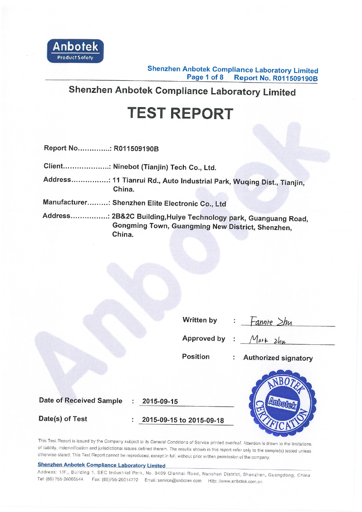

**Shenzhen Anbotek Compliance Laboratory Limited** Page 1 of 8 **Report No. R011509190B** 

# Shenzhen Anbotek Compliance Laboratory Limited

# **TEST REPORT**

Report No...............: R011509190B

Client...................: Ninebot (Tianjin) Tech Co., Ltd.

Address................: 11 Tianrui Rd., Auto Industrial Park, Wuqing Dist., Tianjin, China.

Manufacturer.........: Shenzhen Elite Electronic Co., Ltd

Address................: 2B&2C Building, Huiye Technology park, Guanguang Road, Gongming Town, Guangming New District, Shenzhen, China.

| <b>Written by</b> |  | ŀ |
|-------------------|--|---|
|                   |  |   |

 $\frac{1}{2}$  annie  $\frac{1}{2}$  hy

Approved by :

 $Markzhu$ 

**Position** 

**Authorized signatory**  $\mathcal{L}$ 

**Date of Received Sample** 

2015-09-15

Date(s) of Test

2015-09-15 to 2015-09-18



This Test Report is issued by the Company subject to its General Conditions of Service printed overleaf. Attention is drawn to the limitations of liability, indemnification and jurisdictional issues defined therein. The results shown in this report refer only to the sample(s) tested unless otherwise stated. This Test Report cannot be reproduced, except in full, without prior written permission of the company.

#### **Shenzhen Anbotek Compliance Laboratory Limited**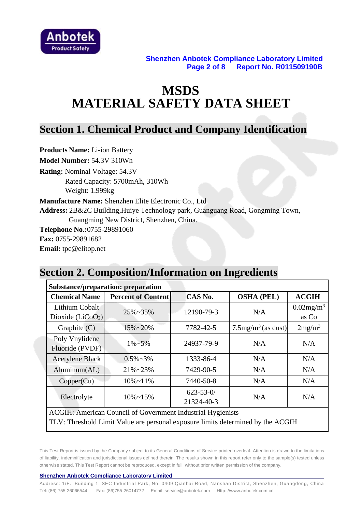

# **MSDS MATERIAL SAFETY DATA SHEET**

### **Section 1. Chemical Product and Company Identification**

**Products Name:** Li-ion Battery **Model Number:** 54.3V 310Wh **Rating:** Nominal Voltage: 54.3V Rated Capacity: 5700mAh, 310Wh Weight: 1.999kg **Manufacture Name:** Shenzhen Elite Electronic Co., Ltd **Address:** 2B&2C Building,Huiye Technology park, Guanguang Road, Gongming Town, Guangming New District, Shenzhen, China. **Telephone No.:**0755-29891060 **Fax:** 0755-29891682 **Email:** tpc@elitop.net

# **Section 2. Composition/Information on Ingredients**

| <b>Substance/preparation: preparation</b>                                       |                           |                |                                   |                          |  |  |  |
|---------------------------------------------------------------------------------|---------------------------|----------------|-----------------------------------|--------------------------|--|--|--|
| <b>Chemical Name</b>                                                            | <b>Percent of Content</b> | CAS No.        | <b>OSHA (PEL)</b>                 | <b>ACGIH</b>             |  |  |  |
| Lithium Cobalt                                                                  | $25\% - 35\%$             | 12190-79-3     | N/A                               | $0.02$ mg/m <sup>3</sup> |  |  |  |
| Dioxide $(LiCoO2)$                                                              |                           |                |                                   | as Co                    |  |  |  |
| Graphite $(C)$                                                                  | $15\% - 20\%$             | 7782-42-5      | $7.5$ mg/m <sup>3</sup> (as dust) | 2mg/m <sup>3</sup>       |  |  |  |
| Poly Vnylidene                                                                  | $1\% \sim 5\%$            | 24937-79-9     | N/A                               | N/A                      |  |  |  |
| Fluoride (PVDF)                                                                 |                           |                |                                   |                          |  |  |  |
| <b>Acetylene Black</b>                                                          | $0.5\% \sim 3\%$          | 1333-86-4      | N/A                               | N/A                      |  |  |  |
| Aluminum(AL)                                                                    | $21\% - 23\%$             | 7429-90-5      | N/A                               | N/A                      |  |  |  |
| Copper(Cu)                                                                      | $10\% - 11\%$             | 7440-50-8      | N/A                               | N/A                      |  |  |  |
| Electrolyte                                                                     | $10\% - 15\%$             | $623 - 53 - 0$ | N/A                               | N/A                      |  |  |  |
|                                                                                 |                           | 21324-40-3     |                                   |                          |  |  |  |
| <b>ACGIH: American Council of Government Industrial Hygienists</b>              |                           |                |                                   |                          |  |  |  |
| TLV: Threshold Limit Value are personal exposure limits determined by the ACGIH |                           |                |                                   |                          |  |  |  |

This Test Report is issued by the Company subject to its General Conditions of Service printed overleaf. Attention is drawn to the limitations of liability, indemnification and jurisdictional issues defined therein. The results shown in this report refer only to the sample(s) tested unless otherwise stated. This Test Report cannot be reproduced, except in full, without prior written permission of the company.

#### **Shenzhen Anbotek Compliance Laboratory Limited**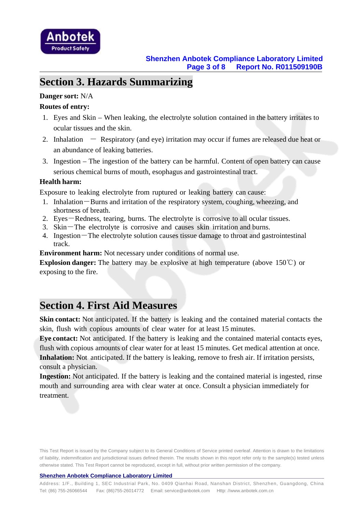

### **Section 3. Hazards Summarizing**

#### **Danger sort:** N/A

#### **Routes of entry:**

- 1. Eyes and Skin When leaking, the electrolyte solution contained in the battery irritates to ocular tissues and the skin.
- 2. Inhalation  $-$  Respiratory (and eye) irritation may occur if fumes are released due heat or an abundance of leaking batteries.
- 3. Ingestion The ingestion of the battery can be harmful. Content of open battery can cause serious chemical burns of mouth, esophagus and gastrointestinal tract.

#### **Health harm:**

Exposure to leaking electrolyte from ruptured or leaking battery can cause:

- 1. Inhalation-Burns and irritation of the respiratory system, coughing, wheezing, and shortness of breath.
- 2. Eyes-Redness, tearing, burns. The electrolyte is corrosive to all ocular tissues.
- 3. Skin-The electrolyte is corrosive and causes skin irritation and burns.
- 4. Ingestion-The electrolyte solution causes tissue damage to throat and gastrointestinal track.

**Environment harm:** Not necessary under conditions of normal use.

**Explosion danger:** The battery may be explosive at high temperature (above 150℃) or exposing to the fire.

### **Section 4. First Aid Measures**

**Skin contact:** Not anticipated. If the battery is leaking and the contained material contacts the skin, flush with copious amounts of clear water for at least 15 minutes.

**Eye contact:** Not anticipated. If the battery is leaking and the contained material contacts eyes, flush with copious amounts of clear water for at least 15 minutes. Get medical attention at once. **Inhalation:** Not anticipated. If the battery is leaking, remove to fresh air. If irritation persists, consult a physician.

**Ingestion:** Not anticipated. If the battery is leaking and the contained material is ingested, rinse mouth and surrounding area with clear water at once. Consult a physician immediately for treatment.

This Test Report is issued by the Company subject to its General Conditions of Service printed overleaf. Attention is drawn to the limitations of liability, indemnification and jurisdictional issues defined therein. The results shown in this report refer only to the sample(s) tested unless otherwise stated. This Test Report cannot be reproduced, except in full, without prior written permission of the company.

#### **Shenzhen Anbotek Compliance Laboratory Limited**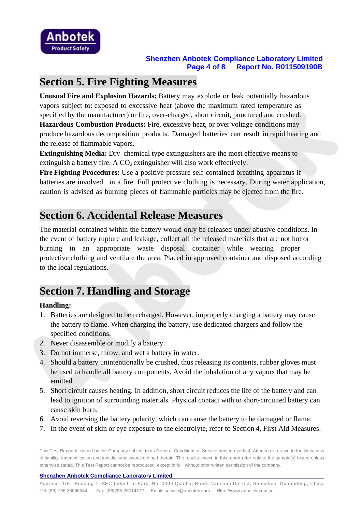

## **Section 5. Fire Fighting Measures**

**Unusual Fire and Explosion Hazards:** Battery may explode or leak potentially hazardous vapors subject to: exposed to excessive heat (above the maximum rated temperature as specified by the manufacturer) or fire, over-charged, short circuit, punctured and crushed.

**Hazardous Combustion Products:** Fire, excessive heat, or over voltage conditions may produce hazardous decomposition products. Damaged batteries can result in rapid heating and the release of flammable vapors.

**Extinguishing Media:** Dry chemical type extinguishers are the most effective means to extinguish a battery fire. A  $CO<sub>2</sub>$  extinguisher will also work effectively.

**Fire Fighting Procedures:** Use a positive pressure self-contained breathing apparatus if batteries are involved in a fire. Full protective clothing is necessary. During water application, caution is advised as burning pieces of flammable particles may be ejected from the fire.

# **Section 6. Accidental Release Measures**

The material contained within the battery would only be released under abusive conditions. In the event of battery rupture and leakage, collect all the released materials that are not hot or burning in an appropriate waste disposal container while wearing proper protective clothing and ventilate the area. Placed in approved container and disposed according to the local regulations.

# **Section 7. Handling and Storage**

#### **Handling:**

- 1. Batteries are designed to be recharged. However, improperly charging a battery may cause the battery to flame. When charging the battery, use dedicated chargers and follow the specified conditions.
- 2. Never disassemble or modify a battery.
- 3. Do not immerse, throw, and wet a battery in water.
- 4. Should a battery unintentionally be crushed, thus releasing its contents, rubber gloves must be used to handle all battery components. Avoid the inhalation of any vapors that may be emitted.
- 5. Short circuit causes heating. In addition, short circuit reduces the life of the battery and can lead to ignition of surrounding materials. Physical contact with to short-circuited battery can cause skin burn.
- 6. Avoid reversing the battery polarity, which can cause the battery to be damaged or flame.
- 7. In the event of skin or eye exposure to the electrolyte, refer to Section 4, First Aid Measures.

This Test Report is issued by the Company subject to its General Conditions of Service printed overleaf. Attention is drawn to the limitations of liability, indemnification and jurisdictional issues defined therein. The results shown in this report refer only to the sample(s) tested unless otherwise stated. This Test Report cannot be reproduced, except in full, without prior written permission of the company.

#### **Shenzhen Anbotek Compliance Laboratory Limited**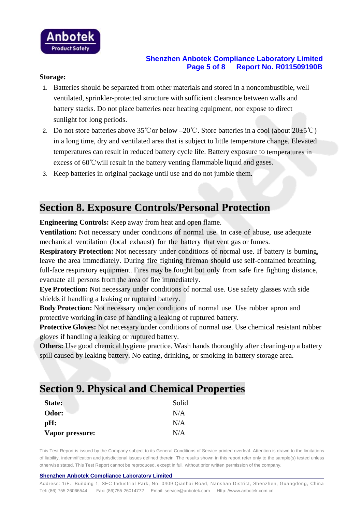

### **Shenzhen Anbotek Compliance Laboratory Limited Page 5 of 8 Report No. R011509190B**

#### **Storage:**

- 1. Batteries should be separated from other materials and stored in a noncombustible, well ventilated, sprinkler-protected structure with sufficient clearance between walls and battery stacks. Do not place batteries near heating equipment, nor expose to direct sunlight for long periods.
- 2. Do not store batteries above 35℃or below –20℃. Store batteries in a cool (about 20±5℃) in a long time, dry and ventilated area that is subject to little temperature change. Elevated temperatures can result in reduced battery cycle life. Battery exposure to temperatures in excess of 60℃will result in the battery venting flammable liquid and gases.
- 3. Keep batteries in original package until use and do not jumble them.

### **Section 8. Exposure Controls/Personal Protection**

**Engineering Controls:** Keep away from heat and open flame.

**Ventilation:** Not necessary under conditions of normal use. In case of abuse, use adequate mechanical ventilation (local exhaust) for the battery that vent gas or fumes.

**Respiratory Protection:** Not necessary under conditions of normal use. If battery is burning, leave the area immediately. During fire fighting fireman should use self-contained breathing, full-face respiratory equipment. Fires may be fought but only from safe fire fighting distance, evacuate all persons from the area of fire immediately.

**Eye Protection:** Not necessary under conditions of normal use. Use safety glasses with side shields if handling a leaking or ruptured battery.

**Body Protection:** Not necessary under conditions of normal use. Use rubber apron and protective working in case of handling a leaking of ruptured battery.

**Protective Gloves:** Not necessary under conditions of normal use. Use chemical resistant rubber gloves if handling a leaking or ruptured battery.

**Others:** Use good chemical hygiene practice. Wash hands thoroughly after cleaning-up a battery spill caused by leaking battery. No eating, drinking, or smoking in battery storage area.

### **Section 9. Physical and Chemical Properties**

| State:          | Solid |
|-----------------|-------|
| Odor:           | N/A   |
| $pH$ :          | N/A   |
| Vapor pressure: | N/A   |

This Test Report is issued by the Company subject to its General Conditions of Service printed overleaf. Attention is drawn to the limitations of liability, indemnification and jurisdictional issues defined therein. The results shown in this report refer only to the sample(s) tested unless otherwise stated. This Test Report cannot be reproduced, except in full, without prior written permission of the company.

#### **Shenzhen Anbotek Compliance Laboratory Limited**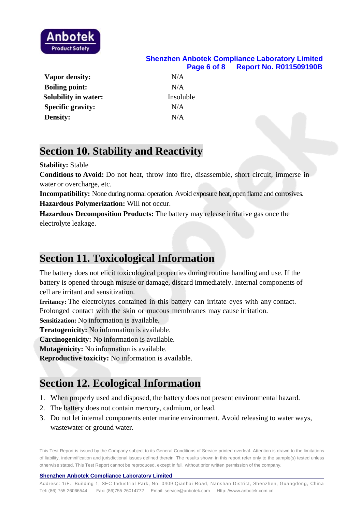

### **Shenzhen Anbotek Compliance Laboratory Limited Page 6 of 8 Report No. R011509190B**

| <b>Vapor density:</b>       | N/A       |  |
|-----------------------------|-----------|--|
| <b>Boiling point:</b>       | N/A       |  |
| <b>Solubility in water:</b> | Insoluble |  |
| <b>Specific gravity:</b>    | N/A       |  |
| <b>Density:</b>             | N/A       |  |
|                             |           |  |

### **Section 10. Stability and Reactivity**

#### **Stability:** Stable

**Conditions to Avoid:** Do not heat, throw into fire, disassemble, short circuit, immerse in water or overcharge, etc.

**Incompatibility:** None during normal operation. Avoid exposure heat, open flame and corrosives. **Hazardous Polymerization:** Will not occur.

**Hazardous Decomposition Products:** The battery may release irritative gas once the electrolyte leakage.

# **Section 11. Toxicological Information**

The battery does not elicit toxicological properties during routine handling and use. If the battery is opened through misuse or damage, discard immediately. Internal components of cell are irritant and sensitization.

**Irritancy:** The electrolytes contained in this battery can irritate eyes with any contact. Prolonged contact with the skin or mucous membranes may cause irritation.

**Sensitization:** No information is available.

**Teratogenicity:** No information is available.

**Carcinogenicity:** No information is available.

**Mutagenicity:** No information is available.

**Reproductive toxicity:** No information is available.

# **Section 12. Ecological Information**

- 1. When properly used and disposed, the battery does not present environmental hazard.
- 2. The battery does not contain mercury, cadmium, or lead.
- 3. Do not let internal components enter marine environment. Avoid releasing to water ways, wastewater or ground water.

This Test Report is issued by the Company subject to its General Conditions of Service printed overleaf. Attention is drawn to the limitations of liability, indemnification and jurisdictional issues defined therein. The results shown in this report refer only to the sample(s) tested unless otherwise stated. This Test Report cannot be reproduced, except in full, without prior written permission of the company.

#### **Shenzhen Anbotek Compliance Laboratory Limited**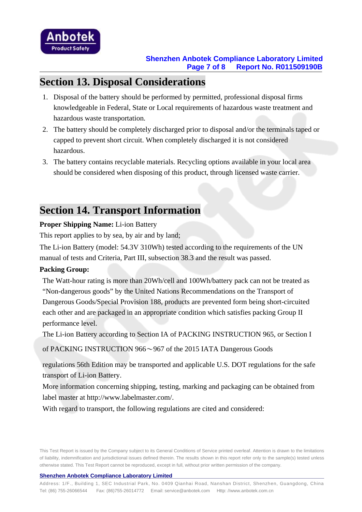

### **Section 13. Disposal Considerations**

- 1. Disposal of the battery should be performed by permitted, professional disposal firms knowledgeable in Federal, State or Local requirements of hazardous waste treatment and hazardous waste transportation.
- 2. The battery should be completely discharged prior to disposal and/or the terminals taped or capped to prevent short circuit. When completely discharged it is not considered hazardous.
- 3. The battery contains recyclable materials. Recycling options available in your local area should be considered when disposing of this product, through licensed waste carrier.

# **Section 14. Transport Information**

#### **Proper Shipping Name:** Li-ion Battery

This report applies to by sea, by air and by land;

The Li-ion Battery (model: 54.3V 310Wh) tested according to the requirements of the UN manual of tests and Criteria, Part III, subsection 38.3 and the result was passed.

#### **Packing Group:**

The Watt-hour rating is more than 20Wh/cell and 100Wh/battery pack can not be treated as "Non-dangerous goods" by the United Nations Recommendations on the Transport of Dangerous Goods/Special Provision 188, products are prevented form being short-circuited each other and are packaged in an appropriate condition which satisfies packing Group II performance level.

The Li-ion Battery according to Section IA of PACKING INSTRUCTION 965, or Section I

of PACKING INSTRUCTION 966~967 of the 2015 IATA Dangerous Goods

regulations 56th Edition may be transported and applicable U.S. DOT regulations for the safe transport of Li-ion Battery.

More information concerning shipping, testing, marking and packaging can be obtained from label master at http://www.labelmaster.com/.

With regard to transport, the following regulations are cited and considered:

This Test Report is issued by the Company subject to its General Conditions of Service printed overleaf. Attention is drawn to the limitations of liability, indemnification and jurisdictional issues defined therein. The results shown in this report refer only to the sample(s) tested unless otherwise stated. This Test Report cannot be reproduced, except in full, without prior written permission of the company.

#### **Shenzhen Anbotek Compliance Laboratory Limited**